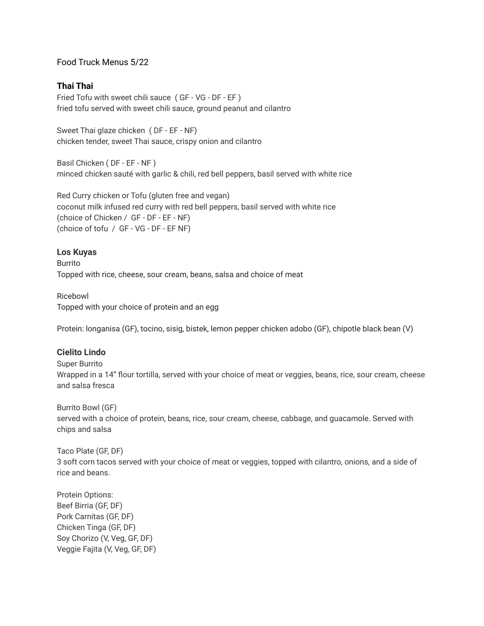## Food Truck Menus 5/22

# **Thai Thai**

Fried Tofu with sweet chili sauce ( GF - VG - DF - EF ) fried tofu served with sweet chili sauce, ground peanut and cilantro

Sweet Thai glaze chicken ( DF - EF - NF) chicken tender, sweet Thai sauce, crispy onion and cilantro

Basil Chicken ( DF - EF - NF ) minced chicken sauté with garlic & chili, red bell peppers, basil served with white rice

Red Curry chicken or Tofu (gluten free and vegan) coconut milk infused red curry with red bell peppers, basil served with white rice (choice of Chicken / GF - DF - EF - NF) (choice of tofu / GF - VG - DF - EF NF)

#### **Los Kuyas**

Burrito Topped with rice, cheese, sour cream, beans, salsa and choice of meat

Ricebowl Topped with your choice of protein and an egg

Protein: longanisa (GF), tocino, sisig, bistek, lemon pepper chicken adobo (GF), chipotle black bean (V)

### **Cielito Lindo**

Super Burrito Wrapped in a 14" flour tortilla, served with your choice of meat or veggies, beans, rice, sour cream, cheese and salsa fresca

Burrito Bowl (GF) served with a choice of protein, beans, rice, sour cream, cheese, cabbage, and guacamole. Served with chips and salsa

Taco Plate (GF, DF) 3 soft corn tacos served with your choice of meat or veggies, topped with cilantro, onions, and a side of rice and beans.

Protein Options: Beef Birria (GF, DF) Pork Carnitas (GF, DF) Chicken Tinga (GF, DF) Soy Chorizo (V, Veg, GF, DF) Veggie Fajita (V, Veg, GF, DF)